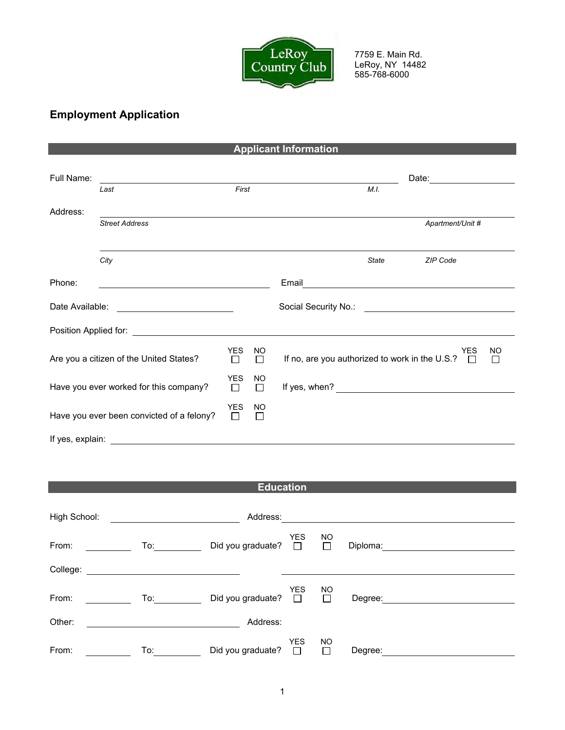

7759 E. Main Rd. LeRoy, NY 14482 585-768-6000

## **Employment Application**

|                                           |                                                                                                                                                                                                                                |                 |                           | <b>Applicant Information</b>                             |              |                                                                  |  |  |
|-------------------------------------------|--------------------------------------------------------------------------------------------------------------------------------------------------------------------------------------------------------------------------------|-----------------|---------------------------|----------------------------------------------------------|--------------|------------------------------------------------------------------|--|--|
| Full Name:                                | Last                                                                                                                                                                                                                           |                 | First                     |                                                          |              | Date:<br>M.I.                                                    |  |  |
| Address:                                  |                                                                                                                                                                                                                                |                 |                           |                                                          |              |                                                                  |  |  |
|                                           | <b>Street Address</b>                                                                                                                                                                                                          |                 |                           |                                                          |              | Apartment/Unit #                                                 |  |  |
|                                           | City                                                                                                                                                                                                                           |                 |                           |                                                          | <b>State</b> | <b>ZIP Code</b>                                                  |  |  |
| Phone:                                    |                                                                                                                                                                                                                                |                 |                           | Email                                                    |              | <u> 1989 - Johann Stein, mars an t-Amerikaansk kommunister (</u> |  |  |
| Date Available:                           |                                                                                                                                                                                                                                |                 |                           |                                                          |              | Social Security No.: \[\]                                        |  |  |
|                                           | Position Applied for: The Contract of the Contract of the Contract of the Contract of the Contract of the Contract of the Contract of the Contract of the Contract of the Contract of the Contract of the Contract of the Cont |                 |                           |                                                          |              |                                                                  |  |  |
| Are you a citizen of the United States?   |                                                                                                                                                                                                                                | <b>YES</b><br>П | <b>NO</b><br>$\Box$       | If no, are you authorized to work in the U.S.? $\square$ |              | <b>YES</b><br>NO<br>$\perp$                                      |  |  |
| Have you ever worked for this company?    |                                                                                                                                                                                                                                | <b>YES</b><br>П | <b>NO</b><br>П            | If yes, when?                                            |              |                                                                  |  |  |
| Have you ever been convicted of a felony? |                                                                                                                                                                                                                                | <b>YES</b><br>П | <b>NO</b><br>$\mathbf{I}$ |                                                          |              |                                                                  |  |  |
| If yes, explain:                          |                                                                                                                                                                                                                                |                 |                           |                                                          |              |                                                                  |  |  |

## **Education**

| High School: |     | Address:          |                      |                     |          |  |
|--------------|-----|-------------------|----------------------|---------------------|----------|--|
| From:        | To: | Did you graduate? | <b>YES</b><br>$\Box$ | <b>NO</b><br>$\Box$ | Diploma: |  |
| College:     |     |                   |                      |                     |          |  |
| From:        | To: | Did you graduate? | <b>YES</b><br>$\Box$ | NO.<br>$\Box$       | Degree:  |  |
| Other:       |     | Address:          |                      |                     |          |  |
| From:        | To: | Did you graduate? | <b>YES</b>           | <b>NO</b><br>$\Box$ | Degree:  |  |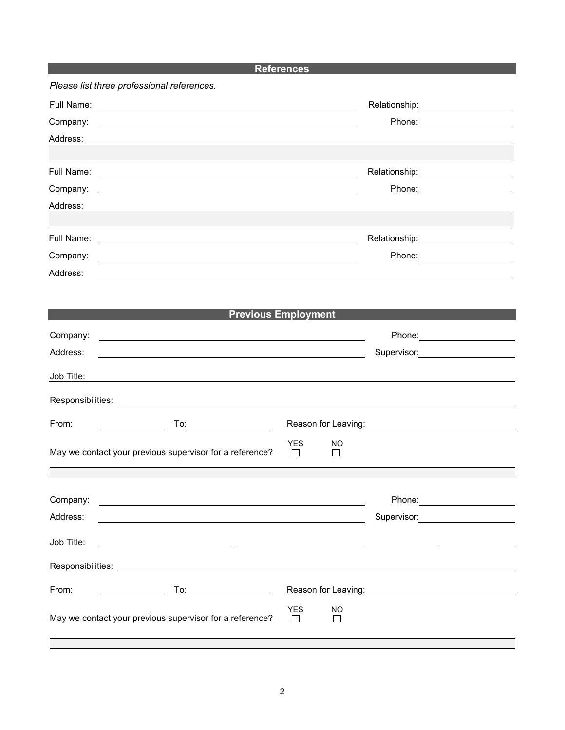## **References**

|            | Please list three professional references.                  |                                       |                                                           |
|------------|-------------------------------------------------------------|---------------------------------------|-----------------------------------------------------------|
|            |                                                             |                                       | Relationship:___________________                          |
| Company:   |                                                             |                                       | Phone: ___________________                                |
| Address:   |                                                             |                                       |                                                           |
|            |                                                             |                                       |                                                           |
|            |                                                             |                                       | Relationship:_____________________                        |
| Company:   |                                                             |                                       | Phone: ______________________                             |
| Address:   |                                                             |                                       |                                                           |
|            |                                                             |                                       | Relationship:_____________________                        |
| Company:   |                                                             |                                       | Phone: _______________________                            |
| Address:   | <u> 1999 - Johann Stoff, amerikansk politiker (d. 1989)</u> |                                       |                                                           |
|            |                                                             |                                       |                                                           |
|            |                                                             |                                       |                                                           |
|            |                                                             | <b>Previous Employment</b>            |                                                           |
| Company:   |                                                             |                                       | Phone: _______________________                            |
| Address:   | <u> 1989 - Johann Stoff, amerikansk politiker (d. 1989)</u> |                                       |                                                           |
| Job Title: |                                                             |                                       |                                                           |
|            |                                                             |                                       |                                                           |
| From:      | To: _________________                                       |                                       |                                                           |
|            | May we contact your previous supervisor for a reference?    | <b>YES</b><br>NO<br>П<br>$\mathsf{L}$ |                                                           |
|            |                                                             |                                       |                                                           |
| Company:   |                                                             |                                       | Phone: __________________                                 |
| Address:   |                                                             |                                       | Supervisor: 2000                                          |
|            |                                                             |                                       |                                                           |
| Job Title: |                                                             |                                       |                                                           |
|            |                                                             |                                       |                                                           |
| From:      |                                                             |                                       | Reason for Leaving: <u>contained and all proportional</u> |
|            | May we contact your previous supervisor for a reference?    | <b>YES</b><br>NO<br>$\mathsf{L}$      |                                                           |